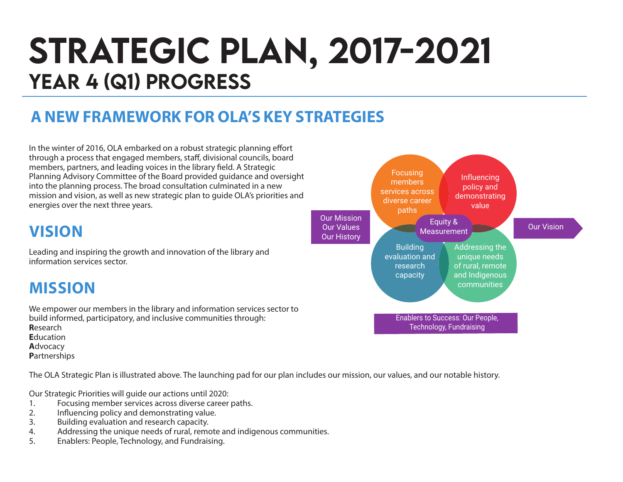# STRATEGIC PLAN, 2017-2021 YEAR 4 (Q1) PROGRESS

### **A NEW FRAMEWORK FOR OLA'S KEY STRATEGIES**

In the winter of 2016, OLA embarked on a robust strategic planning effort through a process that engaged members, staff, divisional councils, board members, partners, and leading voices in the library field. A Strategic Planning Advisory Committee of the Board provided guidance and oversight into the planning process. The broad consultation culminated in a new mission and vision, as well as new strategic plan to guide OLA's priorities and energies over the next three years.

### **VISION**

Leading and inspiring the growth and innovation of the library and information services sector.

### **MISSION**

We empower our members in the library and information services sector to build informed, participatory, and inclusive communities through: **R**esearch **E**ducation **A**dvocacy **P**artnerships

The OLA Strategic Plan is illustrated above. The launching pad for our plan includes our mission, our values, and our notable history.

Our Strategic Priorities will guide our actions until 2020:

- 1. Focusing member services across diverse career paths.<br>2. Influencing policy and demonstrating value.
- 2. Influencing policy and demonstrating value.
- 3. Building evaluation and research capacity.
- 4. Addressing the unique needs of rural, remote and indigenous communities.
- 5. Enablers: People, Technology, and Fundraising.

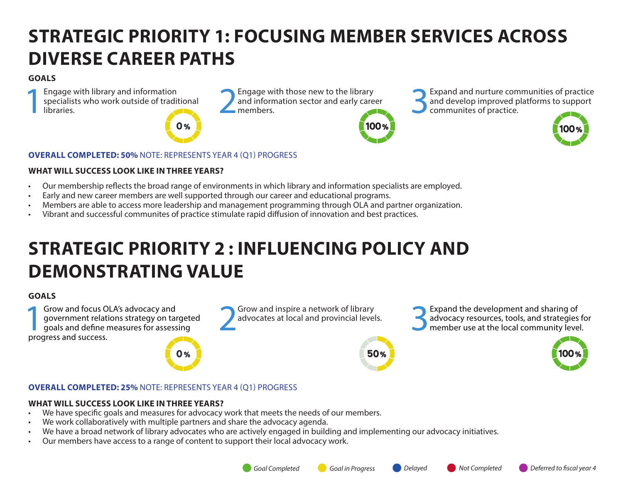### **STRATEGIC PRIORITY 1: FOCUSING MEMBER SERVICES ACROSS DIVERSE CAREER PATHS**

#### **GOALS**

Engage with library and information<br>specialists who work outside of tradit<br>libraries. specialists who work outside of traditional Engage with library and information<br>specialists who work outside of traditional and information sector and early care<br>libraries.



and information sector and early career<br>members.



Engage with those new to the library<br>and information sector and early career<br>members.<br> $\bigcup_{\text{commuities of practice.}}$ <br>Communites of practice. and develop improved platforms to support communites of practice.



#### **OVERALL COMPLETED: 50%** NOTE: REPRESENTS YEAR 4 (Q1) PROGRESS

#### **WHAT WILL SUCCESS LOOK LIKE IN THREE YEARS?**

- Our membership reflects the broad range of environments in which library and information specialists are employed.
- Early and new career members are well supported through our career and educational programs.
- Members are able to access more leadership and management programming through OLA and partner organization.
- Vibrant and successful communites of practice stimulate rapid diffusion of innovation and best practices.

# **STRATEGIC PRIORITY 2 : INFLUENCING POLICY AND DEMONSTRATING VALUE**

#### **GOALS**

**1Grow and focus OLA's advocacy and<br>
government relations strategy on target<br>
goals and define measures for assessing<br>
progress and success** government relations strategy on targeted progress and success.

# Grow and inspire a network of library<br>advocates at local and provincial levels.

Grow and inspire a network of library<br>advocates at local and provincial levels.<br>**3Expand the development and sharing of**<br>advocacy resources, tools, and strategies<br>expands to a dvocacy resources, tools, and strategies advocacy resources, tools, and strategies for member use at the local community level.



50%



#### **OVERALL COMPLETED: 25%** NOTE: REPRESENTS YEAR 4 (Q1) PROGRESS

#### **WHAT WILL SUCCESS LOOK LIKE IN THREE YEARS?**

- We have specific goals and measures for advocacy work that meets the needs of our members.
- We work collaboratively with multiple partners and share the advocacy agenda.

0 %

- We have a broad network of library advocates who are actively engaged in building and implementing our advocacy initiatives.
- Our members have access to a range of content to support their local advocacy work.

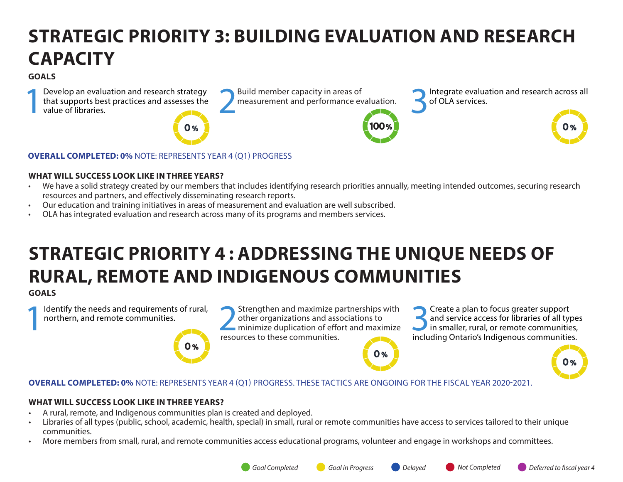### **STRATEGIC PRIORITY 3: BUILDING EVALUATION AND RESEARCH CAPACITY**

#### **GOALS**

Develop an evaluation and research strategy Build member capacity in areas of that supports best practices and assesses the value of libraries. that supports best practices and assesses the value of libraries.



Build member capacity in areas of **1986** Integrate evaluation and research across all measurement and performance evaluation. of OLA services.



#### **OVERALL COMPLETED: 0%** NOTE: REPRESENTS YEAR 4 (Q1) PROGRESS

#### **WHAT WILL SUCCESS LOOK LIKE IN THREE YEARS?**

- We have a solid strategy created by our members that includes identifying research priorities annually, meeting intended outcomes, securing research resources and partners, and effectively disseminating research reports.
- Our education and training initiatives in areas of measurement and evaluation are well subscribed.
- OLA has integrated evaluation and research across many of its programs and members services.

# **STRATEGIC PRIORITY 4 : ADDRESSING THE UNIQUE NEEDS OF RURAL, REMOTE AND INDIGENOUS COMMUNITIES**

#### **GOALS**

Identify the needs and requirements of rural, northern, and remote communities.

Identify the needs and requirements of rural,<br>
northern, and remote communities.<br> **EXECUTES** to these communities<br>
resources to these communities other organizations and associations to resources to these communities.

Solution of the set of all type:<br> **3.5 Create a plan to focus greater support**<br>
in smaller, rural, or remote communities,<br>
including Ontario's Indigenous communities and service access for libraries of all types including Ontario's Indigenous communities.



**OVERALL COMPLETED: 0%** NOTE: REPRESENTS YEAR 4 (Q1) PROGRESS. THESE TACTICS ARE ONGOING FOR THE FISCAL YEAR 2020-2021.

#### **WHAT WILL SUCCESS LOOK LIKE IN THREE YEARS?**

• A rural, remote, and Indigenous communities plan is created and deployed.

 $0%$ 

- Libraries of all types (public, school, academic, health, special) in small, rural or remote communities have access to services tailored to their unique communities.
- More members from small, rural, and remote communities access educational programs, volunteer and engage in workshops and committees.

 $\mathbf{O}$  %

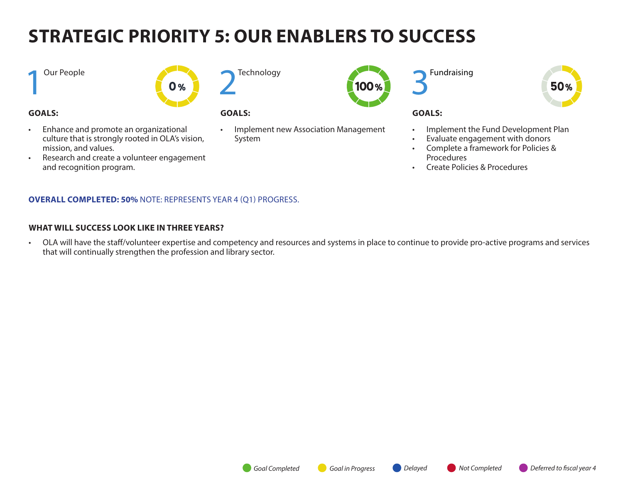# **STRATEGIC PRIORITY 5: OUR ENABLERS TO SUCCESS**

**1** Our People



#### **GOALS:**

• Enhance and promote an organizational culture that is strongly rooted in OLA's vision, mission, and values.

• Research and create a volunteer engagement

and recognition program.

**Technology** 



#### **GOALS:**

• Implement new Association Management System





#### **GOALS:**

- Implement the Fund Development Plan
- Evaluate engagement with donors
- Complete a framework for Policies & **Procedures**
- Create Policies & Procedures

#### **OVERALL COMPLETED: 50%** NOTE: REPRESENTS YEAR 4 (Q1) PROGRESS.

#### **WHAT WILL SUCCESS LOOK LIKE IN THREE YEARS?**

• OLA will have the staff/volunteer expertise and competency and resources and systems in place to continue to provide pro-active programs and services that will continually strengthen the profession and library sector.

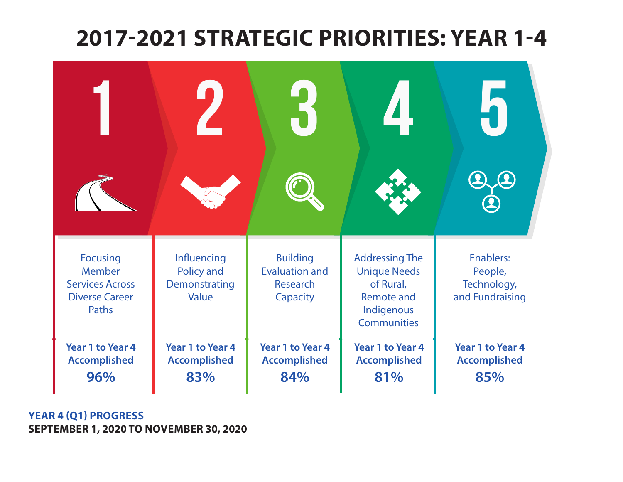### 2017-2021 Strategic priorities **2017-2021 STRATEGIC PRIORITIES: YEAR 1-4**



**YEAR 4 (Q1) PROGRESS SEPTEMBER 1, 2020 TO NOVEMBER 30, 2020**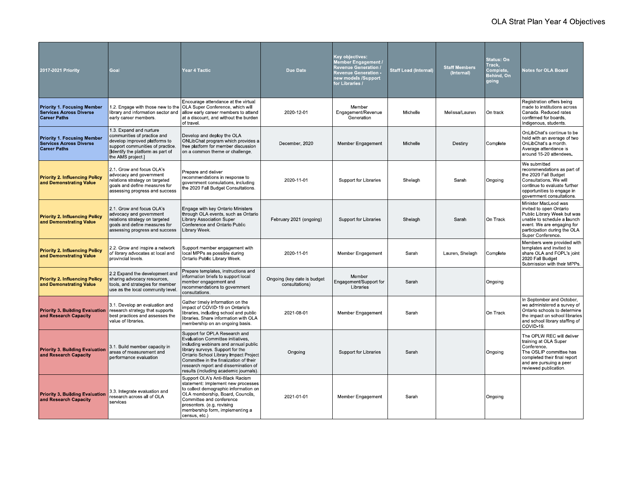| 2017-2021 Priority                                                                          | Goal                                                                                                                                                                                 | <b>Year 4 Tactic</b>                                                                                                                                                                                                                                                                                                | <b>Due Date</b>                               | Key objectives:<br>//lember Engagement<br><b>Revenue Generation</b><br><b>Revenue Generation -</b><br>new models /Support<br>for Libraries / | <b>Staff Lead (Internal)</b> | <b>Staff Members</b><br>(Internal) | Status: On<br>Track,<br>Complete,<br>Behind, On<br>going | Notes for OLA Board                                                                                                                                                                              |
|---------------------------------------------------------------------------------------------|--------------------------------------------------------------------------------------------------------------------------------------------------------------------------------------|---------------------------------------------------------------------------------------------------------------------------------------------------------------------------------------------------------------------------------------------------------------------------------------------------------------------|-----------------------------------------------|----------------------------------------------------------------------------------------------------------------------------------------------|------------------------------|------------------------------------|----------------------------------------------------------|--------------------------------------------------------------------------------------------------------------------------------------------------------------------------------------------------|
| <b>Priority 1. Focusing Member</b><br><b>Services Across Diverse</b><br><b>Career Paths</b> | 1.2. Engage with those new to the<br>library and information sector and<br>early career members                                                                                      | Encourage attendance at the virtual<br>OLA Super Conference, which will<br>allow early career members to attend<br>at a discount, and without the burden<br>of travel.                                                                                                                                              | 2020-12-01                                    | Member<br>Engagement/Revenue<br>Generation                                                                                                   | Michelle                     | Melissa/Lauren                     | On track                                                 | Registration offers being<br>made to institutions across<br>Canada, Reduced rates<br>confirmed for boards.<br>Indigenous, students.                                                              |
| <b>Priority 1. Focusing Member</b><br><b>Services Across Diverse</b><br><b>Career Paths</b> | 1.3 Expand and nurture<br>communities of practice and<br>develop improved platforms to<br>support communities of practice.<br>Ildentify the platform as part of<br>the AMS project.] | Develop and deploy the OLA<br>ONLibChat program which provides a<br>free platform for member discussion<br>on a common theme or challenge.                                                                                                                                                                          | December, 2020                                | Member Engagement                                                                                                                            | Michelle                     | Destiny                            | Complete                                                 | OnLibChat's continue to be<br>held with an average of two<br>OnLibChat's a month.<br>Average attendance is<br>around 15-20 attendees                                                             |
| <b>Priority 2. Influencing Policy</b><br>and Demonstrating Value                            | 2.1 Grow and focus OLA's<br>advocacy and government<br>relations strategy on targeted<br>goals and define measures for<br>assessing progress and success                             | Prepare and deliver<br>recommendations in response to<br>government consulations, including<br>the 2020 Fall Budget Consultations.                                                                                                                                                                                  | 2020-11-01                                    | <b>Support for Libraries</b>                                                                                                                 | Shelagh                      | Sarah                              | Ongoing                                                  | We submitted<br>recommendations as part of<br>the 2020 Fall Budget<br>Consultations We will<br>continue to evaluate further<br>opportunities to engage in<br>government consultations            |
| <b>Priority 2. Influencing Policy</b><br>and Demonstrating Value                            | 2.1. Grow and focus OLA's<br>advocacy and government<br>relations strategy on targeted<br>goals and define measures for<br>assessing progress and success                            | Engage with key Ontario Ministers<br>through OLA events, such as Ontario<br><b>Library Association Super</b><br>Conference and Ontario Public<br>Library Week.                                                                                                                                                      | February 2021 (ongoing)                       | Support for Libraries                                                                                                                        | Shelagh                      | Sarah                              | On Track                                                 | Minister MacLeod was<br>invited to open Ontario<br>Public Library Week but was<br>unable to schedule a launch<br>event. We are engaging for<br>participation during the OLA<br>Super Conference. |
| <b>Priority 2. Influencing Policy</b><br>and Demonstrating Value                            | 2.2. Grow and inspire a network<br>of library advocates at local and<br>provincial levels.                                                                                           | Support member engagement with<br>local MPPs as possible during<br>Ontario Public Library Week                                                                                                                                                                                                                      | 2020-11-01                                    | Member Engagement                                                                                                                            | Sarah                        | Lauren, Shelagh                    | Complete                                                 | Members were provided with<br>templates and invited to<br>share OLA and FOPL's joint<br>2020 Fall Budget<br>Submission with their MPPs.                                                          |
| <b>Priority 2. Influencing Policy</b><br>and Demonstrating Value                            | 2.2 Expand the development and<br>sharing advocacy resources.<br>tools, and strategies for member<br>use as the local community level.                                               | Prepare templates, instructions and<br>information briefs to support local<br>member engagement and<br>recommendations to government<br>consultations                                                                                                                                                               | Ongoing (key date is budget<br>consultations) | Member<br>Engagement/Support for<br>Libraries                                                                                                | Sarah                        |                                    | Ongoing                                                  |                                                                                                                                                                                                  |
| <b>Priority 3. Building Evaluation</b><br>and Research Capacity                             | 3.1 Develop an evaluation and<br>research strategy that supports<br>best practices and assesses the<br>value of libraries.                                                           | Gather timely information on the<br>impact of COVID-19 on Ontario's<br>libraries, including school and public<br>libraries. Share information with OLA<br>membership on an ongoing basis.                                                                                                                           | 2021-08-01                                    | Member Engagement                                                                                                                            | Sarah                        |                                    | On Track                                                 | In September and October,<br>we administered a survey of<br>Ontario schools to determine<br>the impact on school libraries<br>and school library staffing of<br>COVID-19                         |
| <b>Priority 3. Building Evaluation</b><br>and Research Capacity                             | 3.1 Build member capacity in<br>areas of measurement and<br>performance evaluation                                                                                                   | Support for OPLA Research and<br>Evaluation Committee initiatives,<br>including webinars and annual public<br>library surveys. Support for the<br>Ontario School Library Impact Project<br>Committee in the finalization of their<br>research report and dissemination of<br>results (including academic journals). | Ongoing                                       | <b>Support for Libraries</b>                                                                                                                 | Sarah                        |                                    | Ongoing                                                  | The OPLW REC will deliver<br>training at OLA Super<br>Conference.<br>The OSLIP committee has<br>completed their final report<br>and are pursuing a peer<br>reviewed publication.                 |
| <b>Priority 3. Building Evaluation</b><br>and Research Capacity                             | 3.3. Integrate evaluation and<br>research across all of OLA<br>services                                                                                                              | Support OLA's Anti-Black Racism<br>statement: Implement new processes<br>to collect demographic information on<br>OLA membership, Board, Councils,<br>Committee and conference<br>presenters (e.g. revising<br>membership form, implementing a<br>census, etc.)                                                     | 2021-01-01                                    | Member Engagement                                                                                                                            | Sarah                        |                                    | Ongoing                                                  |                                                                                                                                                                                                  |